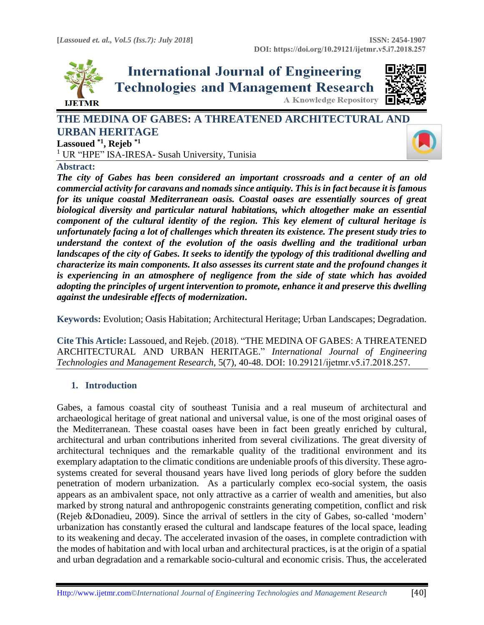

**International Journal of Engineering Technologies and Management Research A Knowledge Repository** 



# **THE MEDINA OF GABES: A THREATENED ARCHITECTURAL AN[D](https://crossmark.crossref.org/dialog/?doi=10.29121/ijetmr.v5.i7.2018.257&domain=pdf&date_stamp=2018-07-31)  URBAN HERITAGE Lassoued \*1, Rejeb \*1**

<sup>1</sup> UR "HPE" ISA-IRESA- Susah University, Tunisia



### **Abstract:**

*The city of Gabes has been considered an important crossroads and a center of an old commercial activity for caravans and nomads since antiquity. This is in fact because it is famous for its unique coastal Mediterranean oasis. Coastal oases are essentially sources of great biological diversity and particular natural habitations, which altogether make an essential component of the cultural identity of the region. This key element of cultural heritage is unfortunately facing a lot of challenges which threaten its existence. The present study tries to understand the context of the evolution of the oasis dwelling and the traditional urban landscapes of the city of Gabes. It seeks to identify the typology of this traditional dwelling and characterize its main components. It also assesses its current state and the profound changes it is experiencing in an atmosphere of negligence from the side of state which has avoided adopting the principles of urgent intervention to promote, enhance it and preserve this dwelling against the undesirable effects of modernization***.**

**Keywords:** Evolution; Oasis Habitation; Architectural Heritage; Urban Landscapes; Degradation*.* 

**Cite This Article:** Lassoued, and Rejeb. (2018). "THE MEDINA OF GABES: A THREATENED ARCHITECTURAL AND URBAN HERITAGE." *International Journal of Engineering Technologies and Management Research,* 5(7), 40-48. DOI: 10.29121/ijetmr.v5.i7.2018.257.

### **1. Introduction**

Gabes, a famous coastal city of southeast Tunisia and a real museum of architectural and archaeological heritage of great national and universal value, is one of the most original oases of the Mediterranean. These coastal oases have been in fact been greatly enriched by cultural, architectural and urban contributions inherited from several civilizations. The great diversity of architectural techniques and the remarkable quality of the traditional environment and its exemplary adaptation to the climatic conditions are undeniable proofs of this diversity. These agrosystems created for several thousand years have lived long periods of glory before the sudden penetration of modern urbanization. As a particularly complex eco-social system, the oasis appears as an ambivalent space, not only attractive as a carrier of wealth and amenities, but also marked by strong natural and anthropogenic constraints generating competition, conflict and risk (Rejeb &Donadieu, 2009). Since the arrival of settlers in the city of Gabes, so-called 'modern' urbanization has constantly erased the cultural and landscape features of the local space, leading to its weakening and decay. The accelerated invasion of the oases, in complete contradiction with the modes of habitation and with local urban and architectural practices, is at the origin of a spatial and urban degradation and a remarkable socio-cultural and economic crisis. Thus, the accelerated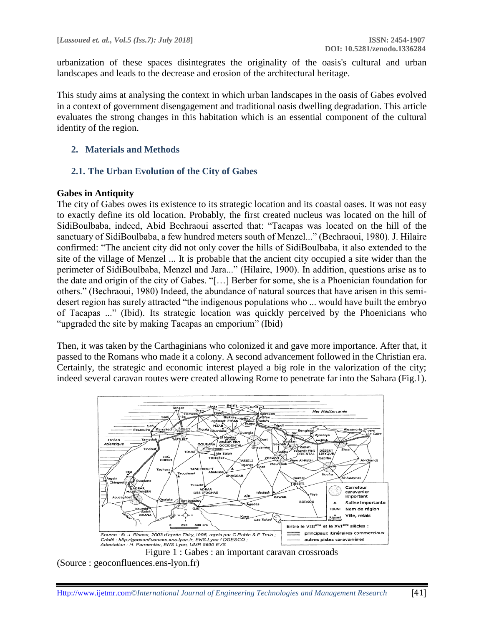urbanization of these spaces disintegrates the originality of the oasis's cultural and urban landscapes and leads to the decrease and erosion of the architectural heritage.

This study aims at analysing the context in which urban landscapes in the oasis of Gabes evolved in a context of government disengagement and traditional oasis dwelling degradation. This article evaluates the strong changes in this habitation which is an essential component of the cultural identity of the region.

### **2. Materials and Methods**

#### **2.1. The Urban Evolution of the City of Gabes**

#### **Gabes in Antiquity**

The city of Gabes owes its existence to its strategic location and its coastal oases. It was not easy to exactly define its old location. Probably, the first created nucleus was located on the hill of SidiBoulbaba, indeed, Abid Bechraoui asserted that: "Tacapas was located on the hill of the sanctuary of SidiBoulbaba, a few hundred meters south of Menzel..." (Bechraoui, 1980). J. Hilaire confirmed: "The ancient city did not only cover the hills of SidiBoulbaba, it also extended to the site of the village of Menzel ... It is probable that the ancient city occupied a site wider than the perimeter of SidiBoulbaba, Menzel and Jara..." (Hilaire, 1900). In addition, questions arise as to the date and origin of the city of Gabes. "[…] Berber for some, she is a Phoenician foundation for others." (Bechraoui, 1980) Indeed, the abundance of natural sources that have arisen in this semidesert region has surely attracted "the indigenous populations who ... would have built the embryo of Tacapas ..." (Ibid). Its strategic location was quickly perceived by the Phoenicians who "upgraded the site by making Tacapas an emporium" (Ibid)

Then, it was taken by the Carthaginians who colonized it and gave more importance. After that, it passed to the Romans who made it a colony. A second advancement followed in the Christian era. Certainly, the strategic and economic interest played a big role in the valorization of the city; indeed several caravan routes were created allowing Rome to penetrate far into the Sahara (Fig.1).





(Source : geoconfluences.ens-lyon.fr)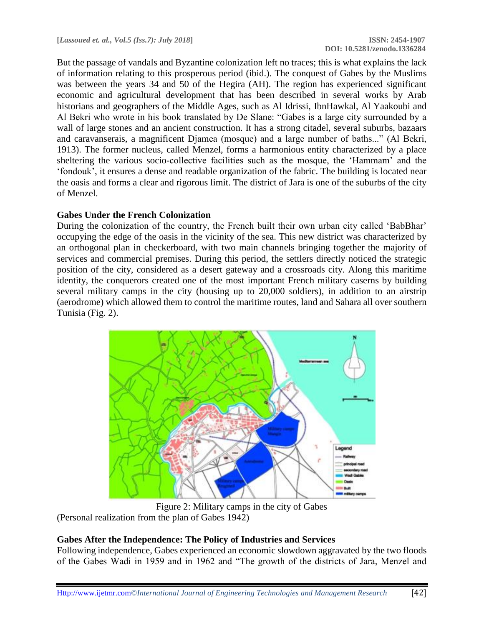But the passage of vandals and Byzantine colonization left no traces; this is what explains the lack of information relating to this prosperous period (ibid.). The conquest of Gabes by the Muslims was between the years 34 and 50 of the Hegira (AH). The region has experienced significant economic and agricultural development that has been described in several works by Arab historians and geographers of the Middle Ages, such as Al Idrissi, IbnHawkal, Al Yaakoubi and Al Bekri who wrote in his book translated by De Slane: "Gabes is a large city surrounded by a wall of large stones and an ancient construction. It has a strong citadel, several suburbs, bazaars and caravanserais, a magnificent Djamea (mosque) and a large number of baths..." (Al Bekri, 1913). The former nucleus, called Menzel, forms a harmonious entity characterized by a place sheltering the various socio-collective facilities such as the mosque, the 'Hammam' and the 'fondouk', it ensures a dense and readable organization of the fabric. The building is located near the oasis and forms a clear and rigorous limit. The district of Jara is one of the suburbs of the city of Menzel.

#### **Gabes Under the French Colonization**

During the colonization of the country, the French built their own urban city called 'BabBhar' occupying the edge of the oasis in the vicinity of the sea. This new district was characterized by an orthogonal plan in checkerboard, with two main channels bringing together the majority of services and commercial premises. During this period, the settlers directly noticed the strategic position of the city, considered as a desert gateway and a crossroads city. Along this maritime identity, the conquerors created one of the most important French military caserns by building several military camps in the city (housing up to 20,000 soldiers), in addition to an airstrip (aerodrome) which allowed them to control the maritime routes, land and Sahara all over southern Tunisia (Fig. 2).



Figure 2: Military camps in the city of Gabes (Personal realization from the plan of Gabes 1942)

#### **Gabes After the Independence: The Policy of Industries and Services**

Following independence, Gabes experienced an economic slowdown aggravated by the two floods of the Gabes Wadi in 1959 and in 1962 and "The growth of the districts of Jara, Menzel and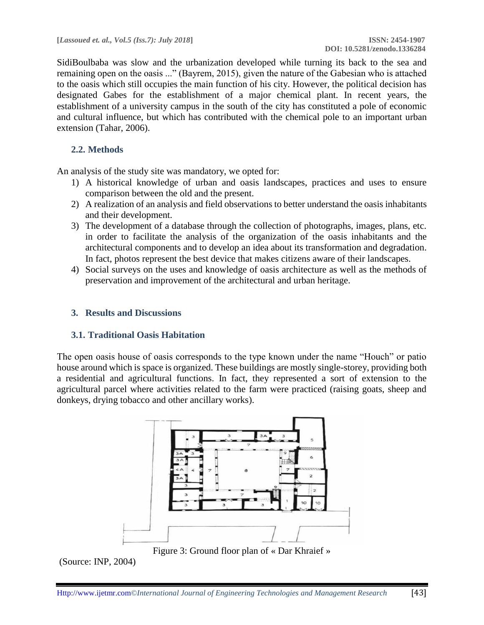SidiBoulbaba was slow and the urbanization developed while turning its back to the sea and remaining open on the oasis ..." (Bayrem, 2015), given the nature of the Gabesian who is attached to the oasis which still occupies the main function of his city. However, the political decision has designated Gabes for the establishment of a major chemical plant. In recent years, the establishment of a university campus in the south of the city has constituted a pole of economic and cultural influence, but which has contributed with the chemical pole to an important urban extension (Tahar, 2006).

## **2.2. Methods**

An analysis of the study site was mandatory, we opted for:

- 1) A historical knowledge of urban and oasis landscapes, practices and uses to ensure comparison between the old and the present.
- 2) A realization of an analysis and field observations to better understand the oasis inhabitants and their development.
- 3) The development of a database through the collection of photographs, images, plans, etc. in order to facilitate the analysis of the organization of the oasis inhabitants and the architectural components and to develop an idea about its transformation and degradation. In fact, photos represent the best device that makes citizens aware of their landscapes.
- 4) Social surveys on the uses and knowledge of oasis architecture as well as the methods of preservation and improvement of the architectural and urban heritage.

### **3. Results and Discussions**

### **3.1. Traditional Oasis Habitation**

The open oasis house of oasis corresponds to the type known under the name "Houch" or patio house around which is space is organized. These buildings are mostly single-storey, providing both a residential and agricultural functions. In fact, they represented a sort of extension to the agricultural parcel where activities related to the farm were practiced (raising goats, sheep and donkeys, drying tobacco and other ancillary works).



Figure 3: Ground floor plan of « Dar Khraief »

(Source: INP, 2004)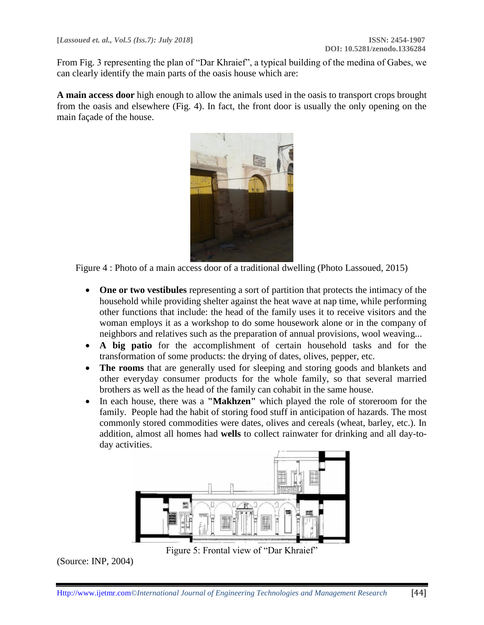From Fig. 3 representing the plan of "Dar Khraief", a typical building of the medina of Gabes, we can clearly identify the main parts of the oasis house which are:

**A main access door** high enough to allow the animals used in the oasis to transport crops brought from the oasis and elsewhere (Fig. 4). In fact, the front door is usually the only opening on the main façade of the house.



Figure 4 : Photo of a main access door of a traditional dwelling (Photo Lassoued, 2015)

- One or two vestibules representing a sort of partition that protects the intimacy of the household while providing shelter against the heat wave at nap time, while performing other functions that include: the head of the family uses it to receive visitors and the woman employs it as a workshop to do some housework alone or in the company of neighbors and relatives such as the preparation of annual provisions, wool weaving...
- **A big patio** for the accomplishment of certain household tasks and for the transformation of some products: the drying of dates, olives, pepper, etc.
- **The rooms** that are generally used for sleeping and storing goods and blankets and other everyday consumer products for the whole family, so that several married brothers as well as the head of the family can cohabit in the same house.
- In each house, there was a **"Makhzen"** which played the role of storeroom for the family. People had the habit of storing food stuff in anticipation of hazards. The most commonly stored commodities were dates, olives and cereals (wheat, barley, etc.). In addition, almost all homes had **wells** to collect rainwater for drinking and all day-today activities.



Figure 5: Frontal view of "Dar Khraief"

(Source: INP, 2004)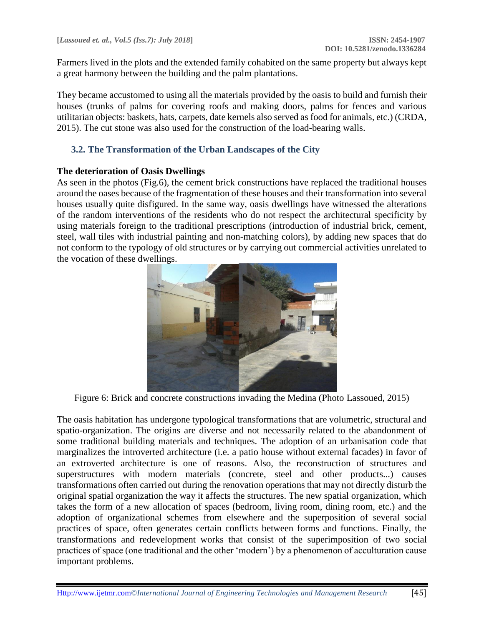Farmers lived in the plots and the extended family cohabited on the same property but always kept a great harmony between the building and the palm plantations.

They became accustomed to using all the materials provided by the oasis to build and furnish their houses (trunks of palms for covering roofs and making doors, palms for fences and various utilitarian objects: baskets, hats, carpets, date kernels also served as food for animals, etc.) (CRDA, 2015). The cut stone was also used for the construction of the load-bearing walls.

### **3.2. The Transformation of the Urban Landscapes of the City**

#### **The deterioration of Oasis Dwellings**

As seen in the photos (Fig.6), the cement brick constructions have replaced the traditional houses around the oases because of the fragmentation of these houses and their transformation into several houses usually quite disfigured. In the same way, oasis dwellings have witnessed the alterations of the random interventions of the residents who do not respect the architectural specificity by using materials foreign to the traditional prescriptions (introduction of industrial brick, cement, steel, wall tiles with industrial painting and non-matching colors), by adding new spaces that do not conform to the typology of old structures or by carrying out commercial activities unrelated to the vocation of these dwellings.



Figure 6: Brick and concrete constructions invading the Medina (Photo Lassoued, 2015)

The oasis habitation has undergone typological transformations that are volumetric, structural and spatio-organization. The origins are diverse and not necessarily related to the abandonment of some traditional building materials and techniques. The adoption of an urbanisation code that marginalizes the introverted architecture (i.e. a patio house without external facades) in favor of an extroverted architecture is one of reasons. Also, the reconstruction of structures and superstructures with modern materials (concrete, steel and other products...) causes transformations often carried out during the renovation operations that may not directly disturb the original spatial organization the way it affects the structures. The new spatial organization, which takes the form of a new allocation of spaces (bedroom, living room, dining room, etc.) and the adoption of organizational schemes from elsewhere and the superposition of several social practices of space, often generates certain conflicts between forms and functions. Finally, the transformations and redevelopment works that consist of the superimposition of two social practices of space (one traditional and the other 'modern') by a phenomenon of acculturation cause important problems.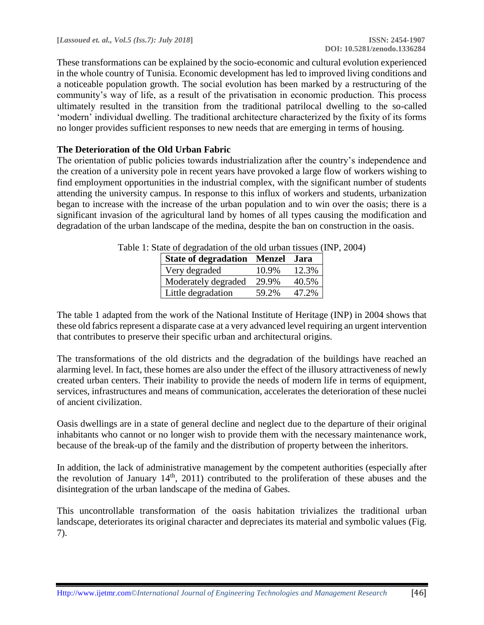These transformations can be explained by the socio-economic and cultural evolution experienced in the whole country of Tunisia. Economic development has led to improved living conditions and a noticeable population growth. The social evolution has been marked by a restructuring of the community's way of life, as a result of the privatisation in economic production. This process ultimately resulted in the transition from the traditional patrilocal dwelling to the so-called 'modern' individual dwelling. The traditional architecture characterized by the fixity of its forms no longer provides sufficient responses to new needs that are emerging in terms of housing.

### **The Deterioration of the Old Urban Fabric**

The orientation of public policies towards industrialization after the country's independence and the creation of a university pole in recent years have provoked a large flow of workers wishing to find employment opportunities in the industrial complex, with the significant number of students attending the university campus. In response to this influx of workers and students, urbanization began to increase with the increase of the urban population and to win over the oasis; there is a significant invasion of the agricultural land by homes of all types causing the modification and degradation of the urban landscape of the medina, despite the ban on construction in the oasis.

| <b>State of degradation</b> | <b>Menzel</b> | .lara |
|-----------------------------|---------------|-------|
| Very degraded               | 10.9%         | 12.3% |
| Moderately degraded         | 29.9%         | 40.5% |
| Little degradation          | 59.2%         | 47.2% |

| Table 1: State of degradation of the old urban tissues (INP, 2004) |
|--------------------------------------------------------------------|
|--------------------------------------------------------------------|

The table 1 adapted from the work of the National Institute of Heritage (INP) in 2004 shows that these old fabrics represent a disparate case at a very advanced level requiring an urgent intervention that contributes to preserve their specific urban and architectural origins.

The transformations of the old districts and the degradation of the buildings have reached an alarming level. In fact, these homes are also under the effect of the illusory attractiveness of newly created urban centers. Their inability to provide the needs of modern life in terms of equipment, services, infrastructures and means of communication, accelerates the deterioration of these nuclei of ancient civilization.

Oasis dwellings are in a state of general decline and neglect due to the departure of their original inhabitants who cannot or no longer wish to provide them with the necessary maintenance work, because of the break-up of the family and the distribution of property between the inheritors.

In addition, the lack of administrative management by the competent authorities (especially after the revolution of January  $14<sup>th</sup>$ ,  $2011$ ) contributed to the proliferation of these abuses and the disintegration of the urban landscape of the medina of Gabes.

This uncontrollable transformation of the oasis habitation trivializes the traditional urban landscape, deteriorates its original character and depreciates its material and symbolic values (Fig. 7).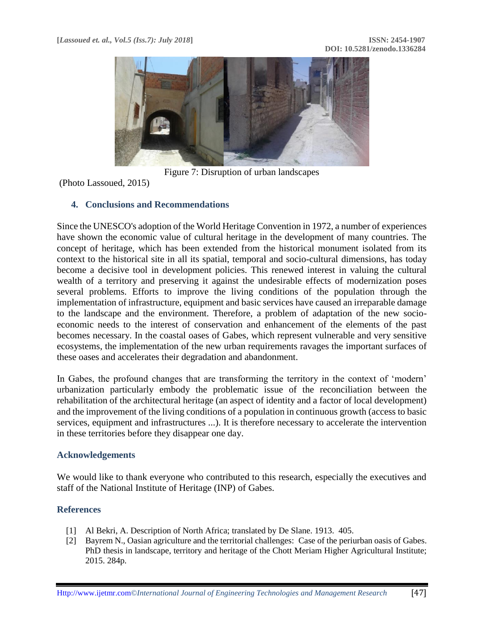

Figure 7: Disruption of urban landscapes

(Photo Lassoued, 2015)

#### **4. Conclusions and Recommendations**

Since the UNESCO's adoption of the World Heritage Convention in 1972, a number of experiences have shown the economic value of cultural heritage in the development of many countries. The concept of heritage, which has been extended from the historical monument isolated from its context to the historical site in all its spatial, temporal and socio-cultural dimensions, has today become a decisive tool in development policies. This renewed interest in valuing the cultural wealth of a territory and preserving it against the undesirable effects of modernization poses several problems. Efforts to improve the living conditions of the population through the implementation of infrastructure, equipment and basic services have caused an irreparable damage to the landscape and the environment. Therefore, a problem of adaptation of the new socioeconomic needs to the interest of conservation and enhancement of the elements of the past becomes necessary. In the coastal oases of Gabes, which represent vulnerable and very sensitive ecosystems, the implementation of the new urban requirements ravages the important surfaces of these oases and accelerates their degradation and abandonment.

In Gabes, the profound changes that are transforming the territory in the context of 'modern' urbanization particularly embody the problematic issue of the reconciliation between the rehabilitation of the architectural heritage (an aspect of identity and a factor of local development) and the improvement of the living conditions of a population in continuous growth (access to basic services, equipment and infrastructures ...). It is therefore necessary to accelerate the intervention in these territories before they disappear one day.

#### **Acknowledgements**

We would like to thank everyone who contributed to this research, especially the executives and staff of the National Institute of Heritage (INP) of Gabes.

#### **References**

- [1] Al Bekri, A. Description of North Africa; translated by De Slane. 1913. 405.
- [2] Bayrem N., Oasian agriculture and the territorial challenges: Case of the periurban oasis of Gabes. PhD thesis in landscape, territory and heritage of the Chott Meriam Higher Agricultural Institute; 2015. 284p.